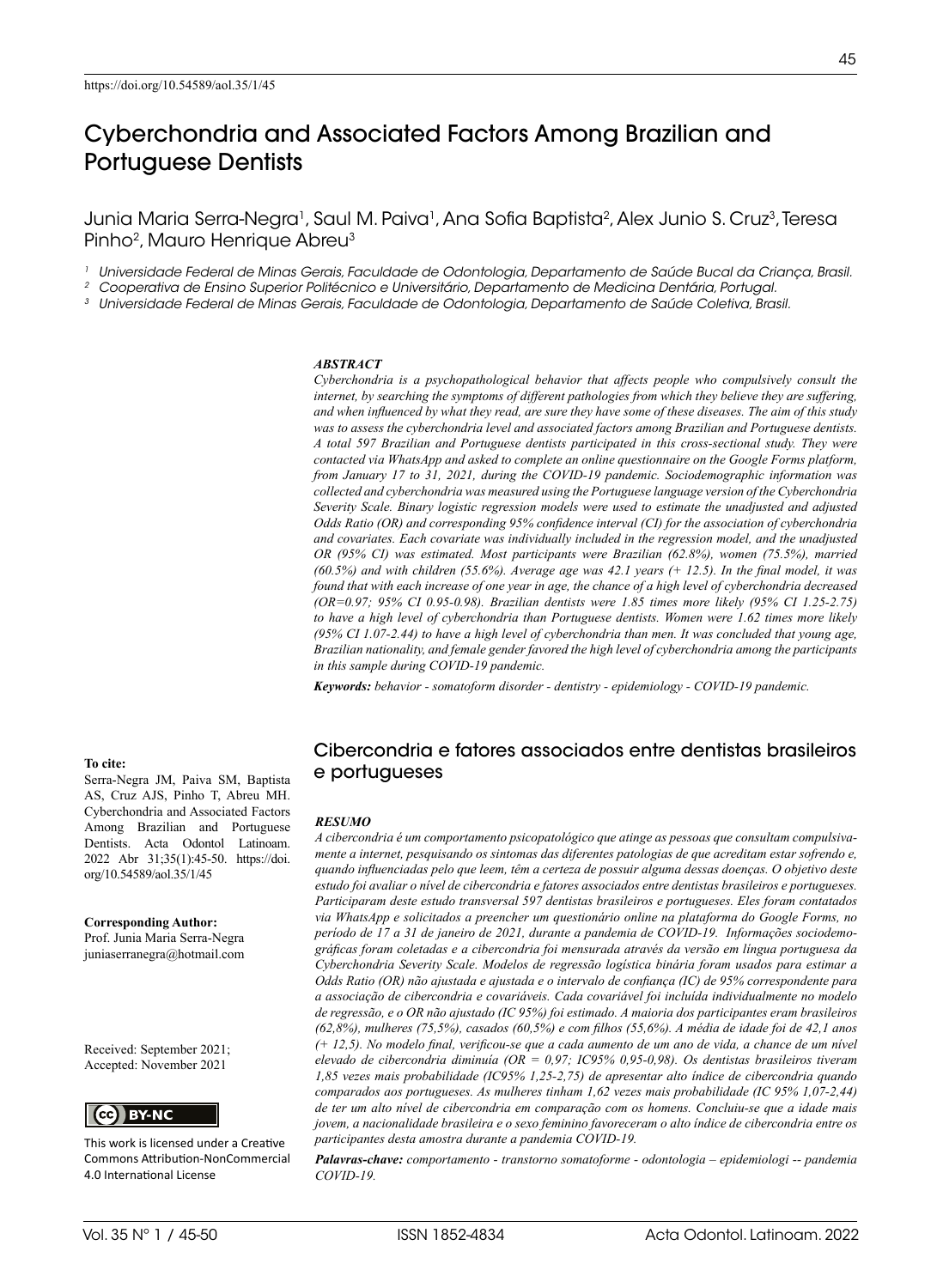# Cyberchondria and Associated Factors Among Brazilian and Portuguese Dentists

Junia Maria Serra-Negra<sup>1</sup>, Saul M. Paiva<sup>1</sup>, Ana Sofia Baptista<sup>2</sup>, Alex Junio S. Cruz<sup>3</sup>, Teresa Pinho<sup>2</sup>, Mauro Henrique Abreu<sup>3</sup>

<sup>1</sup> Universidade Federal de Minas Gerais, Faculdade de Odontologia, Departamento de Saúde Bucal da Criança, Brasil.<br><sup>2</sup> Cooperativa de Ensino Superior Politécnico e Universitário, Departamento de Medicina Dentária, Portuga

#### *ABSTRACT*

*Cyberchondria is a psychopathological behavior that affects people who compulsively consult the internet, by searching the symptoms of different pathologies from which they believe they are suffering, and when influenced by what they read, are sure they have some of these diseases. The aim of this study was to assess the cyberchondria level and associated factors among Brazilian and Portuguese dentists. A total 597 Brazilian and Portuguese dentists participated in this cross-sectional study. They were contacted via WhatsApp and asked to complete an online questionnaire on the Google Forms platform, from January 17 to 31, 2021, during the COVID-19 pandemic. Sociodemographic information was collected and cyberchondria was measured using the Portuguese language version of the Cyberchondria Severity Scale. Binary logistic regression models were used to estimate the unadjusted and adjusted Odds Ratio (OR) and corresponding 95% confidence interval (CI) for the association of cyberchondria and covariates. Each covariate was individually included in the regression model, and the unadjusted OR (95% CI) was estimated. Most participants were Brazilian (62.8%), women (75.5%), married (60.5%) and with children (55.6%). Average age was 42.1 years (+ 12.5). In the final model, it was found that with each increase of one year in age, the chance of a high level of cyberchondria decreased (OR=0.97; 95% CI 0.95-0.98). Brazilian dentists were 1.85 times more likely (95% CI 1.25-2.75) to have a high level of cyberchondria than Portuguese dentists. Women were 1.62 times more likely (95% CI 1.07-2.44) to have a high level of cyberchondria than men. It was concluded that young age, Brazilian nationality, and female gender favored the high level of cyberchondria among the participants in this sample during COVID-19 pandemic.*

*Keywords: behavior - somatoform disorder - dentistry - epidemiology - COVID-19 pandemic.*

### Cibercondria e fatores associados entre dentistas brasileiros e portugueses

#### *RESUMO*

*A cibercondria é um comportamento psicopatológico que atinge as pessoas que consultam compulsivamente a internet, pesquisando os sintomas das diferentes patologias de que acreditam estar sofrendo e, quando influenciadas pelo que leem, têm a certeza de possuir alguma dessas doenças. O objetivo deste estudo foi avaliar o nível de cibercondria e fatores associados entre dentistas brasileiros e portugueses. Participaram deste estudo transversal 597 dentistas brasileiros e portugueses. Eles foram contatados via WhatsApp e solicitados a preencher um questionário online na plataforma do Google Forms, no período de 17 a 31 de janeiro de 2021, durante a pandemia de COVID-19. Informações sociodemográficas foram coletadas e a cibercondria foi mensurada através da versão em língua portuguesa da Cyberchondria Severity Scale. Modelos de regressão logística binária foram usados para estimar a Odds Ratio (OR) não ajustada e ajustada e o intervalo de confiança (IC) de 95% correspondente para a associação de cibercondria e covariáveis. Cada covariável foi incluída individualmente no modelo de regressão, e o OR não ajustado (IC 95%) foi estimado. A maioria dos participantes eram brasileiros (62,8%), mulheres (75,5%), casados (60,5%) e com filhos (55,6%). A média de idade foi de 42,1 anos (+ 12,5). No modelo final, verificou-se que a cada aumento de um ano de vida, a chance de um nível elevado de cibercondria diminuía (OR = 0,97; IC95% 0,95-0,98). Os dentistas brasileiros tiveram 1,85 vezes mais probabilidade (IC95% 1,25-2,75) de apresentar alto índice de cibercondria quando comparados aos portugueses. As mulheres tinham 1,62 vezes mais probabilidade (IC 95% 1,07-2,44) de ter um alto nível de cibercondria em comparação com os homens. Concluiu-se que a idade mais jovem, a nacionalidade brasileira e o sexo feminino favoreceram o alto índice de cibercondria entre os participantes desta amostra durante a pandemia COVID-19.*

*Palavras-chave: comportamento - transtorno somatoforme - odontologia – epidemiologi -- pandemia COVID-19.* 

#### **To cite:**

Serra-Negra JM, Paiva SM, Baptista AS, Cruz AJS, Pinho T, Abreu MH. Cyberchondria and Associated Factors Among Brazilian and Portuguese Dentists. Acta Odontol Latinoam. 2022 Abr 31;35(1):45-50. https://doi. org/10.54589/aol.35/1/45

**Corresponding Author:** Prof. Junia Maria Serra-Negra [juniaserranegra@hotmail.com](mailto:juniaserranegra@hotmail.com) 

Received: September 2021; Accepted: November 2021



This work is licensed under a Creative Commons Attribution-NonCommercial 4.0 International License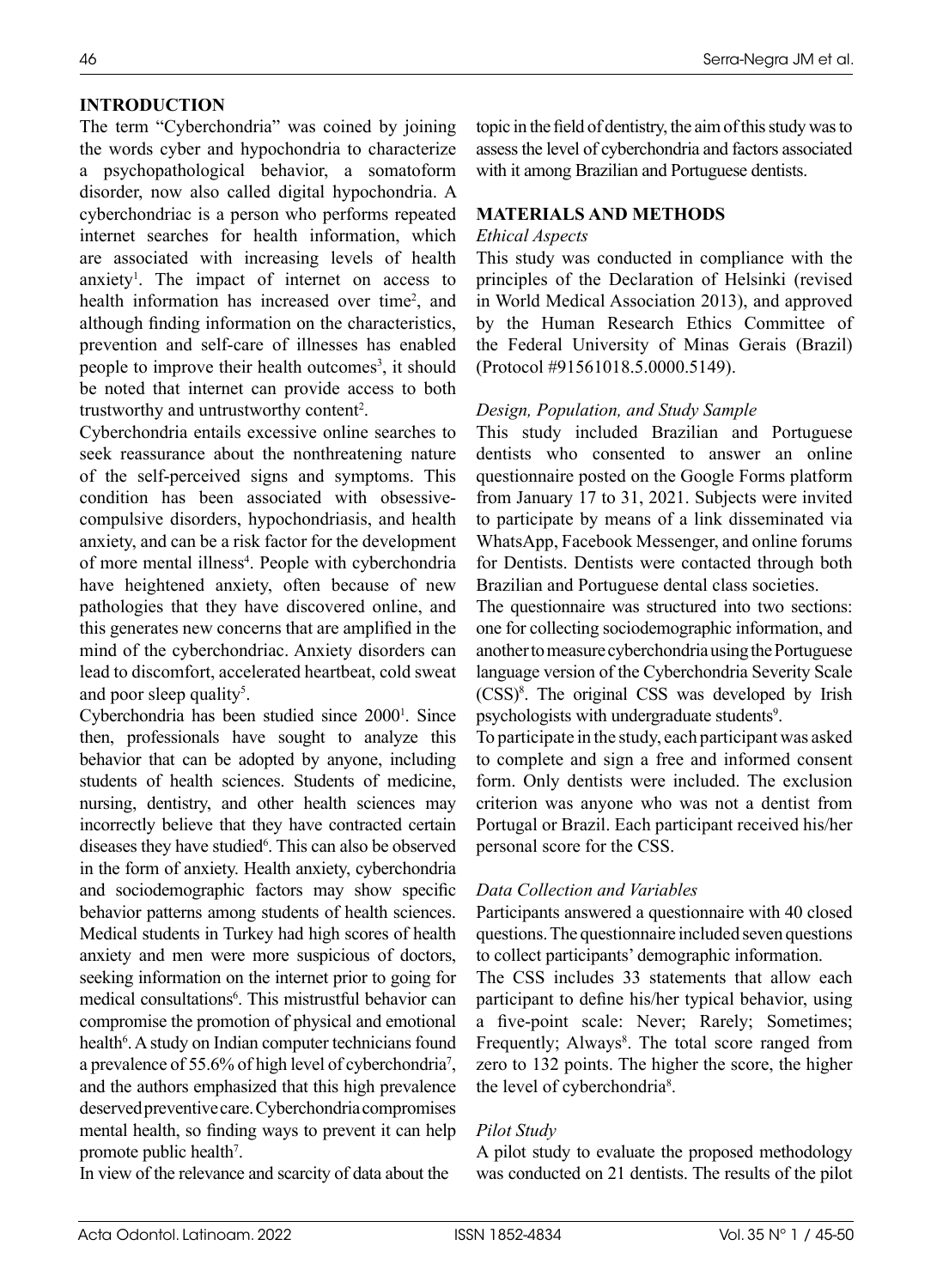# **INTRODUCTION**

The term "Cyberchondria" was coined by joining the words cyber and hypochondria to characterize a psychopathological behavior, a somatoform disorder, now also called digital hypochondria. A cyberchondriac is a person who performs repeated internet searches for health information, which are associated with increasing levels of health anxiety<sup>1</sup>. The impact of internet on access to health information has increased over time<sup>2</sup>, and although finding information on the characteristics, prevention and self-care of illnesses has enabled people to improve their health outcomes<sup>3</sup>, it should be noted that internet can provide access to both trustworthy and untrustworthy content<sup>2</sup>.

Cyberchondria entails excessive online searches to seek reassurance about the nonthreatening nature of the self-perceived signs and symptoms. This condition has been associated with obsessivecompulsive disorders, hypochondriasis, and health anxiety, and can be a risk factor for the development of more mental illness<sup>4</sup>. People with cyberchondria have heightened anxiety, often because of new pathologies that they have discovered online, and this generates new concerns that are amplified in the mind of the cyberchondriac. Anxiety disorders can lead to discomfort, accelerated heartbeat, cold sweat and poor sleep quality<sup>5</sup>.

Cyberchondria has been studied since 2000<sup>1</sup>. Since then, professionals have sought to analyze this behavior that can be adopted by anyone, including students of health sciences. Students of medicine, nursing, dentistry, and other health sciences may incorrectly believe that they have contracted certain diseases they have studied<sup>6</sup>. This can also be observed in the form of anxiety. Health anxiety, cyberchondria and sociodemographic factors may show specific behavior patterns among students of health sciences. Medical students in Turkey had high scores of health anxiety and men were more suspicious of doctors, seeking information on the internet prior to going for medical consultations<sup>6</sup>. This mistrustful behavior can compromise the promotion of physical and emotional health<sup>6</sup>. A study on Indian computer technicians found a prevalence of 55.6% of high level of cyberchondria<sup>7</sup>, and the authors emphasized that this high prevalence deserved preventive care. Cyberchondria compromises mental health, so finding ways to prevent it can help promote public health<sup>7</sup>.

In view of the relevance and scarcity of data about the

topic in the field of dentistry, the aim of this study was to assess the level of cyberchondria and factors associated with it among Brazilian and Portuguese dentists.

### **MATERIALS AND METHODS**

### *Ethical Aspects*

This study was conducted in compliance with the principles of the Declaration of Helsinki (revised in World Medical Association 2013), and approved by the Human Research Ethics Committee of the Federal University of Minas Gerais (Brazil) (Protocol #91561018.5.0000.5149).

### *Design, Population, and Study Sample*

This study included Brazilian and Portuguese dentists who consented to answer an online questionnaire posted on the Google Forms platform from January 17 to 31, 2021. Subjects were invited to participate by means of a link disseminated via WhatsApp, Facebook Messenger, and online forums for Dentists. Dentists were contacted through both Brazilian and Portuguese dental class societies.

The questionnaire was structured into two sections: one for collecting sociodemographic information, and another to measure cyberchondria using the Portuguese language version of the Cyberchondria Severity Scale (CSS)8 . The original CSS was developed by Irish psychologists with undergraduate students<sup>9</sup>.

To participate in the study, each participant was asked to complete and sign a free and informed consent form. Only dentists were included. The exclusion criterion was anyone who was not a dentist from Portugal or Brazil. Each participant received his/her personal score for the CSS.

### *Data Collection and Variables*

Participants answered a questionnaire with 40 closed questions. The questionnaire included seven questions to collect participants' demographic information.

The CSS includes 33 statements that allow each participant to define his/her typical behavior, using a five-point scale: Never; Rarely; Sometimes; Frequently; Always<sup>8</sup>. The total score ranged from zero to 132 points. The higher the score, the higher the level of cyberchondria<sup>8</sup>.

# *Pilot Study*

A pilot study to evaluate the proposed methodology was conducted on 21 dentists. The results of the pilot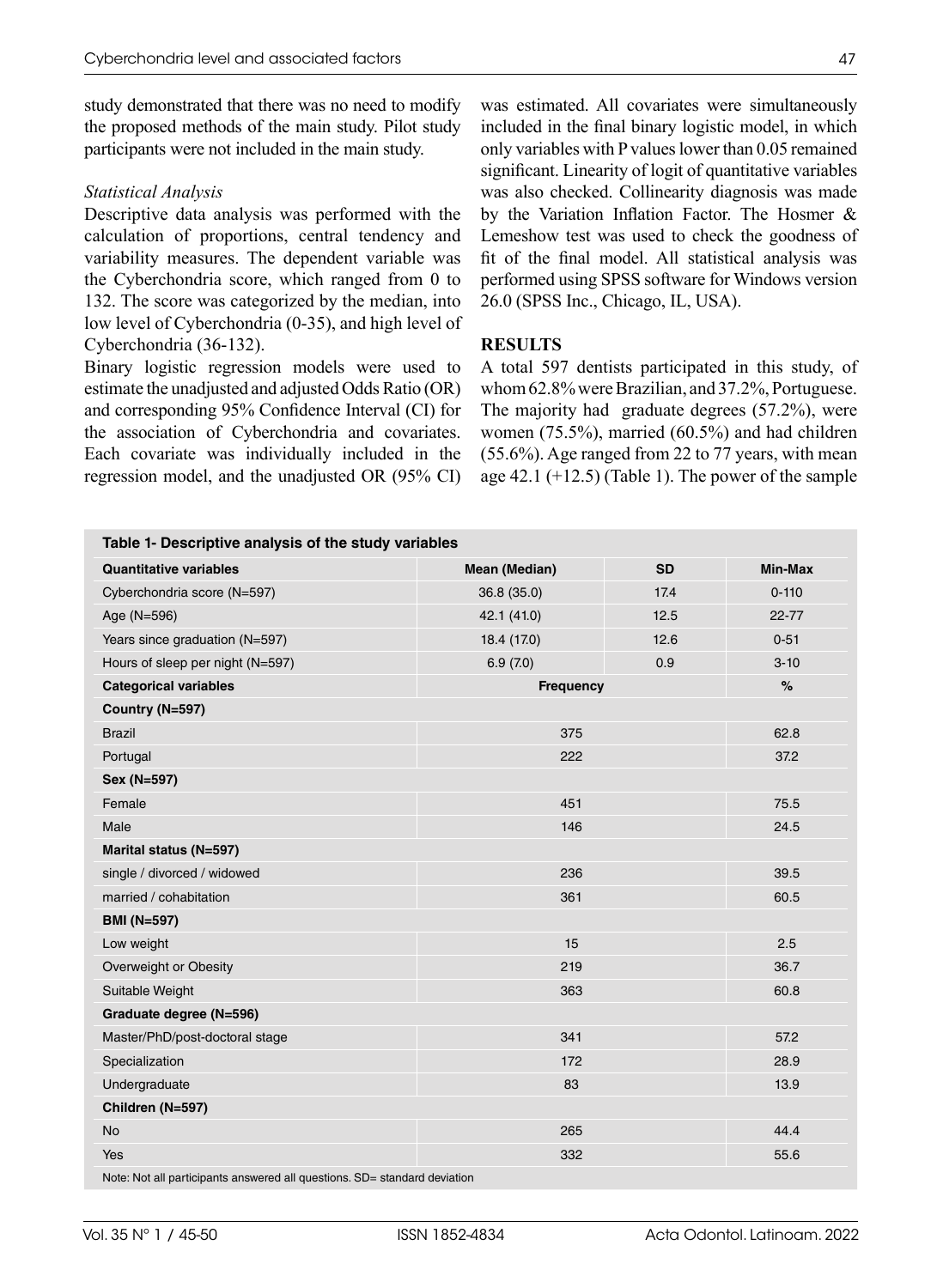study demonstrated that there was no need to modify the proposed methods of the main study. Pilot study participants were not included in the main study.

#### *Statistical Analysis*

Descriptive data analysis was performed with the calculation of proportions, central tendency and variability measures. The dependent variable was the Cyberchondria score, which ranged from 0 to 132. The score was categorized by the median, into low level of Cyberchondria (0-35), and high level of Cyberchondria (36-132).

Binary logistic regression models were used to estimate the unadjusted and adjusted Odds Ratio (OR) and corresponding 95% Confidence Interval (CI) for the association of Cyberchondria and covariates. Each covariate was individually included in the regression model, and the unadjusted OR (95% CI)

was estimated. All covariates were simultaneously included in the final binary logistic model, in which only variables with P values lower than 0.05 remained significant. Linearity of logit of quantitative variables was also checked. Collinearity diagnosis was made by the Variation Inflation Factor. The Hosmer & Lemeshow test was used to check the goodness of fit of the final model. All statistical analysis was performed using SPSS software for Windows version 26.0 (SPSS Inc., Chicago, IL, USA).

### **RESULTS**

A total 597 dentists participated in this study, of whom 62.8% were Brazilian, and 37.2%, Portuguese. The majority had graduate degrees (57.2%), were women (75.5%), married (60.5%) and had children (55.6%). Age ranged from 22 to 77 years, with mean age  $42.1$  ( $+12.5$ ) (Table 1). The power of the sample

|                                  |                  |                            | Min-Max   |  |
|----------------------------------|------------------|----------------------------|-----------|--|
| <b>Quantitative variables</b>    |                  | <b>SD</b><br>Mean (Median) |           |  |
| Cyberchondria score (N=597)      | 36.8 (35.0)      | 17.4                       | $0 - 110$ |  |
| Age (N=596)                      | 42.1 (41.0)      | 12.5                       | $22 - 77$ |  |
| Years since graduation (N=597)   | 18.4 (17.0)      | 12.6                       | $0 - 51$  |  |
| Hours of sleep per night (N=597) | 6.9(7.0)         | 0.9                        |           |  |
| <b>Categorical variables</b>     | <b>Frequency</b> |                            |           |  |
| Country (N=597)                  |                  |                            |           |  |
| <b>Brazil</b>                    | 375              |                            |           |  |
| Portugal                         | 222              |                            |           |  |
| Sex (N=597)                      |                  |                            |           |  |
| Female                           | 451              |                            |           |  |
| Male                             | 146              |                            |           |  |
| Marital status (N=597)           |                  |                            |           |  |
| single / divorced / widowed      | 236              |                            |           |  |
| married / cohabitation           | 361              |                            |           |  |
| <b>BMI (N=597)</b>               |                  |                            |           |  |
| Low weight                       | 15               |                            |           |  |
| Overweight or Obesity            | 219              |                            |           |  |
| Suitable Weight                  | 363              |                            |           |  |
| Graduate degree (N=596)          |                  |                            |           |  |
| Master/PhD/post-doctoral stage   | 341              |                            |           |  |
| Specialization                   | 172              |                            |           |  |
| Undergraduate                    | 83               |                            |           |  |
| Children (N=597)                 |                  |                            |           |  |
| <b>No</b>                        | 265              |                            |           |  |
| Yes                              | 332              |                            |           |  |

Note: Not all participants answered all questions. SD= standard deviation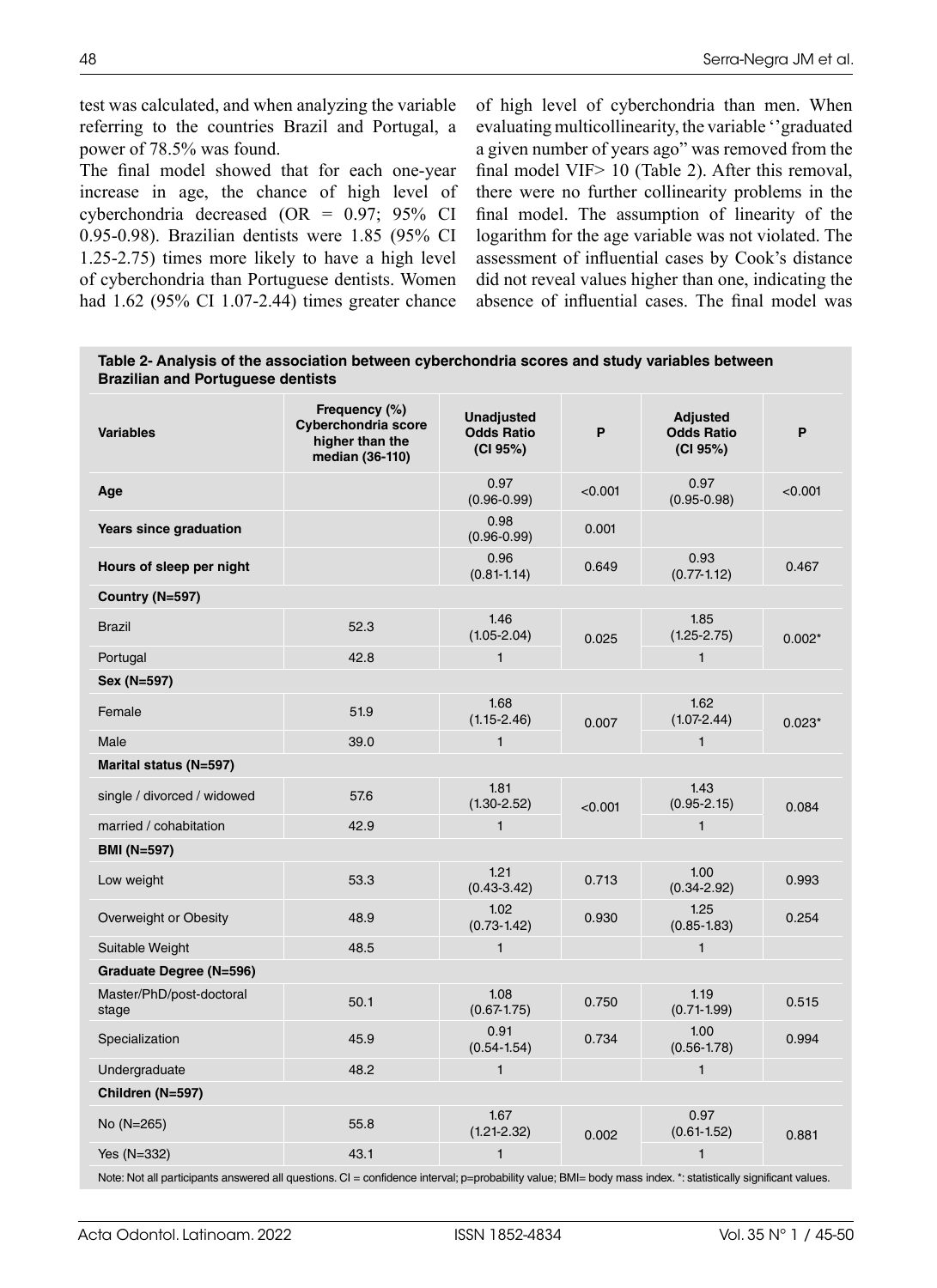test was calculated, and when analyzing the variable referring to the countries Brazil and Portugal, a power of 78.5% was found.

The final model showed that for each one-year increase in age, the chance of high level of cyberchondria decreased (OR = 0.97; 95% CI 0.95-0.98). Brazilian dentists were 1.85 (95% CI 1.25-2.75) times more likely to have a high level of cyberchondria than Portuguese dentists. Women had 1.62 (95% CI 1.07-2.44) times greater chance

of high level of cyberchondria than men. When evaluating multicollinearity, the variable ''graduated a given number of years ago" was removed from the final model VIF > 10 (Table 2). After this removal, there were no further collinearity problems in the final model. The assumption of linearity of the logarithm for the age variable was not violated. The assessment of influential cases by Cook's distance did not reveal values higher than one, indicating the absence of influential cases. The final model was

**Table 2- Analysis of the association between cyberchondria scores and study variables between Brazilian and Portuguese dentists**

| <b>Variables</b>                  | Frequency (%)<br>Cyberchondria score<br>higher than the<br>median (36-110) | <b>Unadjusted</b><br><b>Odds Ratio</b><br>(CI 95%) | P       | <b>Adjusted</b><br><b>Odds Ratio</b><br>(CI 95%) | P        |  |  |
|-----------------------------------|----------------------------------------------------------------------------|----------------------------------------------------|---------|--------------------------------------------------|----------|--|--|
| Age                               |                                                                            | 0.97<br>$(0.96 - 0.99)$                            | < 0.001 | 0.97<br>$(0.95 - 0.98)$                          | < 0.001  |  |  |
| Years since graduation            |                                                                            | 0.98<br>$(0.96 - 0.99)$                            | 0.001   |                                                  |          |  |  |
| Hours of sleep per night          |                                                                            | 0.96<br>$(0.81 - 1.14)$                            | 0.649   | 0.93<br>$(0.77 - 1.12)$                          | 0.467    |  |  |
| Country (N=597)                   |                                                                            |                                                    |         |                                                  |          |  |  |
| <b>Brazil</b>                     | 52.3                                                                       | 1.46<br>$(1.05 - 2.04)$                            | 0.025   | 1.85<br>$(1.25 - 2.75)$                          | $0.002*$ |  |  |
| Portugal                          | 42.8                                                                       | $\mathbf{1}$                                       |         | $\mathbf{1}$                                     |          |  |  |
| Sex (N=597)                       |                                                                            |                                                    |         |                                                  |          |  |  |
| Female                            | 51.9                                                                       | 1.68<br>$(1.15 - 2.46)$                            | 0.007   | 1.62<br>$(1.07 - 2.44)$                          | $0.023*$ |  |  |
| Male                              | 39.0                                                                       | $\mathbf{1}$                                       |         | $\mathbf{1}$                                     |          |  |  |
| Marital status (N=597)            |                                                                            |                                                    |         |                                                  |          |  |  |
| single / divorced / widowed       | 57.6                                                                       | 1.81<br>$(1.30 - 2.52)$                            | < 0.001 | 1.43<br>$(0.95 - 2.15)$                          | 0.084    |  |  |
| married / cohabitation            | 42.9                                                                       | $\mathbf{1}$                                       |         | $\mathbf{1}$                                     |          |  |  |
| <b>BMI (N=597)</b>                |                                                                            |                                                    |         |                                                  |          |  |  |
| Low weight                        | 53.3                                                                       | 1.21<br>$(0.43 - 3.42)$                            | 0.713   | 1.00<br>$(0.34 - 2.92)$                          | 0.993    |  |  |
| Overweight or Obesity             | 48.9                                                                       | 1.02<br>$(0.73 - 1.42)$                            | 0.930   | 1.25<br>$(0.85 - 1.83)$                          | 0.254    |  |  |
| Suitable Weight                   | 48.5                                                                       | $\mathbf{1}$                                       |         | 1                                                |          |  |  |
| Graduate Degree (N=596)           |                                                                            |                                                    |         |                                                  |          |  |  |
| Master/PhD/post-doctoral<br>stage | 50.1                                                                       | 1.08<br>$(0.67 - 1.75)$                            | 0.750   | 1.19<br>$(0.71 - 1.99)$                          | 0.515    |  |  |
| Specialization                    | 45.9                                                                       | 0.91<br>$(0.54 - 1.54)$                            | 0.734   | 1.00<br>$(0.56 - 1.78)$                          | 0.994    |  |  |
| Undergraduate                     | 48.2                                                                       | $\mathbf{1}$                                       |         | $\mathbf{1}$                                     |          |  |  |
| Children (N=597)                  |                                                                            |                                                    |         |                                                  |          |  |  |
| No $(N=265)$                      | 55.8                                                                       | 1.67<br>$(1.21 - 2.32)$                            | 0.002   | 0.97<br>$(0.61 - 1.52)$                          | 0.881    |  |  |
| Yes (N=332)                       | 43.1                                                                       | $\mathbf{1}$                                       |         | 1                                                |          |  |  |
| .                                 |                                                                            |                                                    |         |                                                  |          |  |  |

Note: Not all participants answered all questions. CI = confidence interval; p=probability value; BMI= body mass index. \*: statistically significant values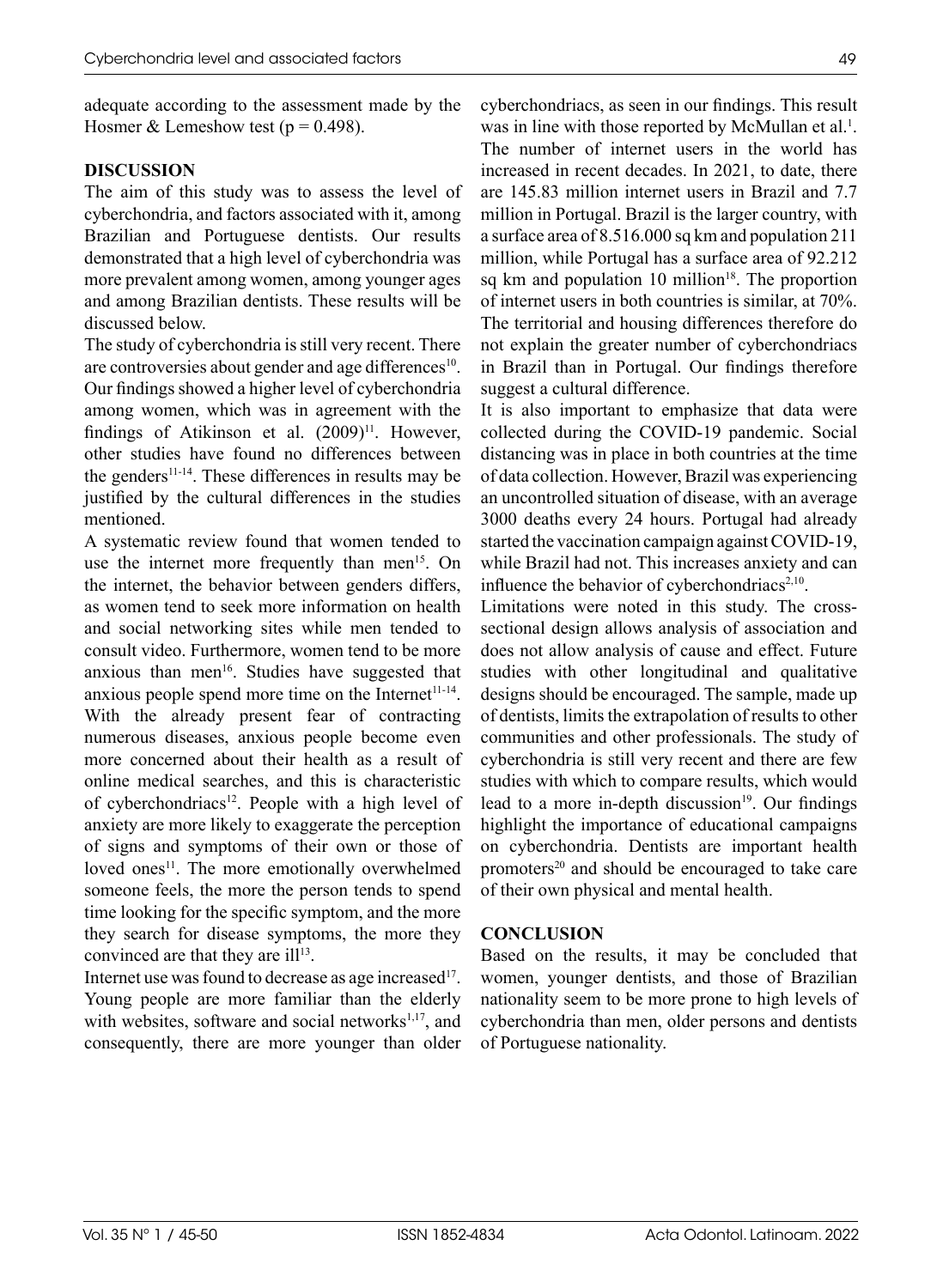adequate according to the assessment made by the Hosmer & Lemeshow test ( $p = 0.498$ ).

### **DISCUSSION**

The aim of this study was to assess the level of cyberchondria, and factors associated with it, among Brazilian and Portuguese dentists. Our results demonstrated that a high level of cyberchondria was more prevalent among women, among younger ages and among Brazilian dentists. These results will be discussed below.

The study of cyberchondria is still very recent. There are controversies about gender and age differences<sup>10</sup>. Our findings showed a higher level of cyberchondria among women, which was in agreement with the findings of Atikinson et al.  $(2009)^{11}$ . However, other studies have found no differences between the genders $11-14$ . These differences in results may be justified by the cultural differences in the studies mentioned.

A systematic review found that women tended to use the internet more frequently than men<sup>15</sup>. On the internet, the behavior between genders differs, as women tend to seek more information on health and social networking sites while men tended to consult video. Furthermore, women tend to be more anxious than men<sup>16</sup>. Studies have suggested that anxious people spend more time on the Internet $11-14$ . With the already present fear of contracting numerous diseases, anxious people become even more concerned about their health as a result of online medical searches, and this is characteristic of cyberchondriacs<sup>12</sup>. People with a high level of anxiety are more likely to exaggerate the perception of signs and symptoms of their own or those of loved ones<sup>11</sup>. The more emotionally overwhelmed someone feels, the more the person tends to spend time looking for the specific symptom, and the more they search for disease symptoms, the more they convinced are that they are ill<sup>13</sup>.

Internet use was found to decrease as age increased<sup>17</sup>. Young people are more familiar than the elderly with websites, software and social networks $1,17$ , and consequently, there are more younger than older cyberchondriacs, as seen in our findings. This result was in line with those reported by McMullan et al.<sup>1</sup>. The number of internet users in the world has increased in recent decades. In 2021, to date, there are 145.83 million internet users in Brazil and 7.7 million in Portugal. Brazil is the larger country, with a surface area of 8.516.000 sq km and population 211 million, while Portugal has a surface area of 92.212 sq km and population  $10 \text{ million}^{18}$ . The proportion of internet users in both countries is similar, at 70%. The territorial and housing differences therefore do not explain the greater number of cyberchondriacs in Brazil than in Portugal. Our findings therefore suggest a cultural difference.

It is also important to emphasize that data were collected during the COVID-19 pandemic. Social distancing was in place in both countries at the time of data collection. However, Brazil was experiencing an uncontrolled situation of disease, with an average 3000 deaths every 24 hours. Portugal had already started the vaccination campaign against COVID-19, while Brazil had not. This increases anxiety and can influence the behavior of cyberchondriacs $2,10$ .

Limitations were noted in this study. The crosssectional design allows analysis of association and does not allow analysis of cause and effect. Future studies with other longitudinal and qualitative designs should be encouraged. The sample, made up of dentists, limits the extrapolation of results to other communities and other professionals. The study of cyberchondria is still very recent and there are few studies with which to compare results, which would lead to a more in-depth discussion<sup>19</sup>. Our findings highlight the importance of educational campaigns on cyberchondria. Dentists are important health promoters<sup>20</sup> and should be encouraged to take care of their own physical and mental health.

### **CONCLUSION**

Based on the results, it may be concluded that women, younger dentists, and those of Brazilian nationality seem to be more prone to high levels of cyberchondria than men, older persons and dentists of Portuguese nationality.